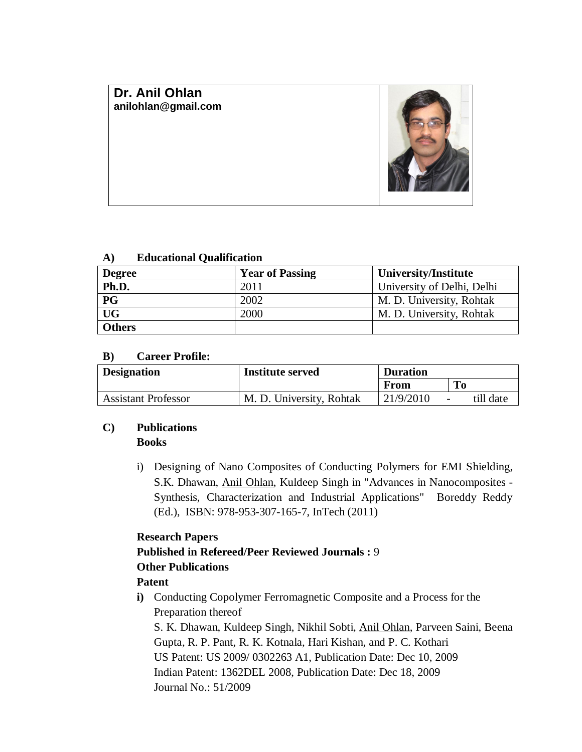# **Dr. Anil Ohlan [anilohlan@gmail.com](mailto:anilohlan@gmail.com)**

## **A) Educational Qualification**

| <b>Degree</b> | <b>Year of Passing</b> | University/Institute       |
|---------------|------------------------|----------------------------|
| Ph.D.         | 2011                   | University of Delhi, Delhi |
| <b>PG</b>     | 2002                   | M. D. University, Rohtak   |
| <b>UG</b>     | 2000                   | M. D. University, Rohtak   |
| <b>Others</b> |                        |                            |

## **B) Career Profile:**

| <b>Designation</b>         | <b>Institute served</b>  | <b>Duration</b> |                                       |
|----------------------------|--------------------------|-----------------|---------------------------------------|
|                            |                          | From            | To                                    |
| <b>Assistant Professor</b> | M. D. University, Rohtak | 21/9/2010       | till date<br>$\overline{\phantom{a}}$ |

## **C) Publications**

## **Books**

i) Designing of Nano Composites of Conducting Polymers for EMI Shielding, S.K. Dhawan, Anil Ohlan, Kuldeep Singh in "Advances in Nanocomposites - Synthesis, Characterization and Industrial Applications" Boreddy Reddy (Ed.), ISBN: 978-953-307-165-7, InTech (2011)

## **Research Papers**

# **Published in Refereed/Peer Reviewed Journals :** 9

## **Other Publications**

## **Patent**

**i)** Conducting Copolymer Ferromagnetic Composite and a Process for the Preparation thereof

S. K. Dhawan, Kuldeep Singh, Nikhil Sobti, Anil Ohlan, Parveen Saini, Beena Gupta, R. P. Pant, R. K. Kotnala, Hari Kishan, and P. C. Kothari US Patent: US 2009/ 0302263 A1, Publication Date: Dec 10, 2009 Indian Patent: 1362DEL 2008, Publication Date: Dec 18, 2009 Journal No.: 51/2009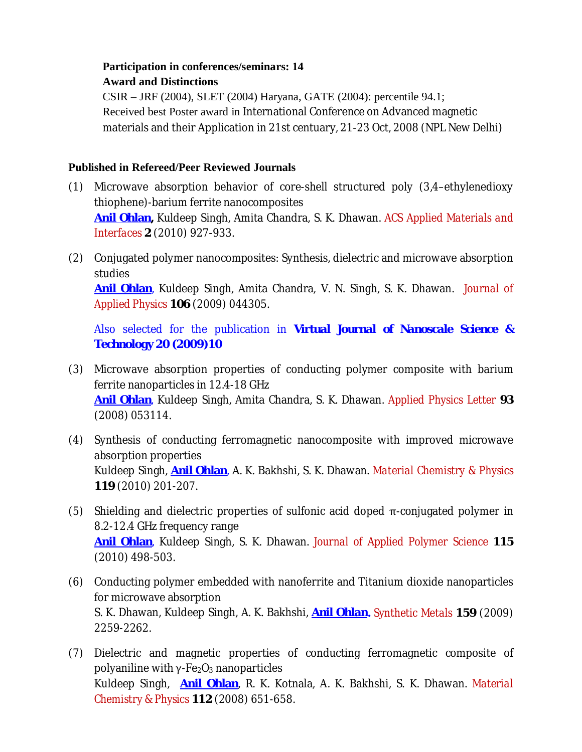# **Participation in conferences/seminars: 14 Award and Distinctions**

CSIR – JRF (2004), SLET (2004) Haryana, GATE (2004): percentile 94.1; Received best Poster award in International Conference on Advanced magnetic materials and their Application in 21st centuary, 21-23 Oct, 2008 (NPL New Delhi)

# **Published in Refereed/Peer Reviewed Journals**

- (1) Microwave absorption behavior of core-shell structured poly (3,4–ethylenedioxy thiophene)-barium ferrite nanocomposites **Anil Ohlan,** Kuldeep Singh, Amita Chandra, S. K. Dhawan. *ACS Applied Materials and Interfaces* **2** (2010) 927-933.
- (2) Conjugated polymer nanocomposites: Synthesis, dielectric and microwave absorption studies

**Anil Ohlan**, Kuldeep Singh, Amita Chandra, V. N. Singh, S. K. Dhawan. *Journal of Applied Physics* **106** (2009) 044305.

Also selected for the publication in *Virtual Journal of Nanoscale Science & Technology* **20 (2009)10**

- (3) Microwave absorption properties of conducting polymer composite with barium ferrite nanoparticles in 12.4-18 GHz **Anil Ohlan**, Kuldeep Singh, Amita Chandra, S. K. Dhawan. *Applied Physics Letter* **93** (2008) 053114.
- (4) Synthesis of conducting ferromagnetic nanocomposite with improved microwave absorption properties Kuldeep Singh, **Anil Ohlan**, A. K. Bakhshi, S. K. Dhawan. *Material Chemistry & Physics* **119** (2010) 201-207.
- (5) Shielding and dielectric properties of sulfonic acid doped  $\pi$ -conjugated polymer in 8.2-12.4 GHz frequency range **Anil Ohlan**, Kuldeep Singh, S. K. Dhawan. *Journal of Applied Polymer Science* **115** (2010) 498-503.
- (6) Conducting polymer embedded with nanoferrite and Titanium dioxide nanoparticles for microwave absorption S. K. Dhawan, Kuldeep Singh, A. K. Bakhshi, **Anil Ohlan.** *Synthetic Metals* **159** (2009) 2259-2262.
- (7) Dielectric and magnetic properties of conducting ferromagnetic composite of polyaniline with  $\gamma$ -Fe<sub>2</sub>O<sub>3</sub> nanoparticles Kuldeep Singh, **Anil Ohlan**, R. K. Kotnala, A. K. Bakhshi, S. K. Dhawan. *Material Chemistry & Physics* **112** (2008) 651-658.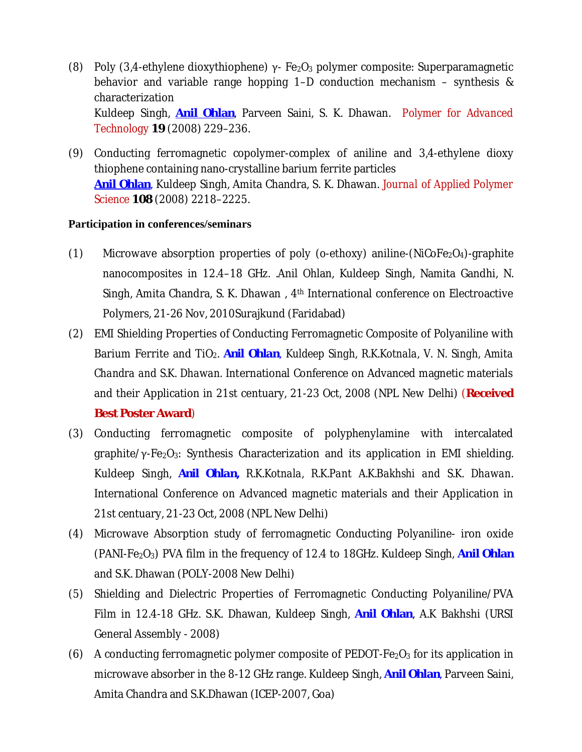- (8) Poly (3,4-ethylene dioxythiophene)  $\gamma$  Fe<sub>2</sub>O<sub>3</sub> polymer composite: Superparamagnetic behavior and variable range hopping 1–D conduction mechanism – synthesis & characterization Kuldeep Singh, **Anil Ohlan**, Parveen Saini, S. K. Dhawan. *Polymer for Advanced Technology* **19** (2008) 229–236.
- (9) Conducting ferromagnetic copolymer-complex of aniline and 3,4-ethylene dioxy thiophene containing nano-crystalline barium ferrite particles **Anil Ohlan**, Kuldeep Singh, Amita Chandra, S. K. Dhawan. *Journal of Applied Polymer Science* **108** (2008) 2218–2225.

## **Participation in conferences/seminars**

- (1) Microwave absorption properties of poly (o-ethoxy) aniline-( $NICoFe<sub>2</sub>O<sub>4</sub>$ )-graphite nanocomposites in 12.4–18 GHz. .Anil Ohlan, Kuldeep Singh, Namita Gandhi, N. Singh, Amita Chandra, S. K. Dhawan , 4th International conference on Electroactive Polymers, 21-26 Nov, 2010Surajkund (Faridabad)
- (2) EMI Shielding Properties of Conducting Ferromagnetic Composite of Polyaniline with Barium Ferrite and TiO<sub>2</sub>. *Anil Ohlan*, *Kuldeep Singh*, *R.K.Kotnala*, *V. N. Singh*, *Amita Chandra and S.K. Dhawan.* International Conference on Advanced magnetic materials and their Application in 21st centuary, 21-23 Oct, 2008 (NPL New Delhi) (**Received Best Poster Award**)
- (3) Conducting ferromagnetic composite of polyphenylamine with intercalated graphite/ $\gamma$ -Fe<sub>2</sub>O<sub>3</sub>: Synthesis Characterization and its application in EMI shielding. Kuldeep Singh, *Anil Ohlan, R.K.Kotnala, R.K.Pant A.K.Bakhshi and S.K. Dhawan*. International Conference on Advanced magnetic materials and their Application in 21st centuary, 21-23 Oct, 2008 (NPL New Delhi)
- (4) Microwave Absorption study of ferromagnetic Conducting Polyaniline- iron oxide (PANI-Fe2O3) PVA film in the frequency of 12.4 to 18GHz. Kuldeep Singh, **Anil Ohlan** and S.K. Dhawan (POLY-2008 New Delhi)
- (5) Shielding and Dielectric Properties of Ferromagnetic Conducting Polyaniline/PVA Film in 12.4-18 GHz. S.K. Dhawan, Kuldeep Singh, **Anil Ohlan**, A.K Bakhshi (URSI General Assembly - 2008)
- (6) A conducting ferromagnetic polymer composite of PEDOT-Fe<sub>2</sub>O<sub>3</sub> for its application in microwave absorber in the 8-12 GHz range. Kuldeep Singh, **Anil Ohlan**, Parveen Saini, Amita Chandra and S.K.Dhawan (ICEP-2007, Goa)